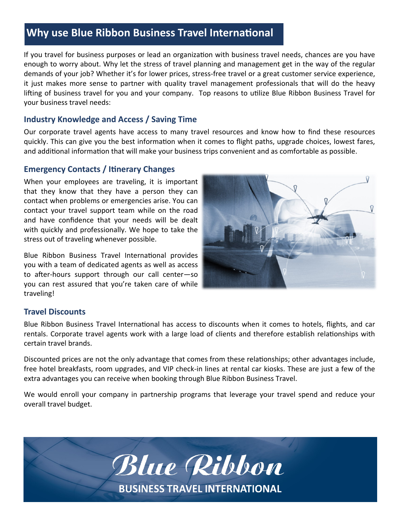## **Why use Blue Ribbon Business Travel International**

If you travel for business purposes or lead an organization with business travel needs, chances are you have enough to worry about. Why let the stress of travel planning and management get in the way of the regular demands of your job? Whether it's for lower prices, stress-free travel or a great customer service experience, it just makes more sense to partner with quality travel management professionals that will do the heavy lifting of business travel for you and your company. Top reasons to utilize Blue Ribbon Business Travel for your business travel needs:

### **Industry Knowledge and Access / Saving Time**

Our corporate travel agents have access to many travel resources and know how to find these resources quickly. This can give you the best information when it comes to flight paths, upgrade choices, lowest fares, and additional information that will make your business trips convenient and as comfortable as possible.

## **Emergency Contacts / Itinerary Changes**

When your employees are traveling, it is important that they know that they have a person they can contact when problems or emergencies arise. You can contact your travel support team while on the road and have confidence that your needs will be dealt with quickly and professionally. We hope to take the stress out of traveling whenever possible.

Blue Ribbon Business Travel International provides you with a team of dedicated agents as well as access to after-hours support through our call center—so you can rest assured that you're taken care of while traveling!



#### **Travel Discounts**

Blue Ribbon Business Travel International has access to discounts when it comes to hotels, flights, and car rentals. Corporate travel agents work with a large load of clients and therefore establish relationships with certain travel brands.

Discounted prices are not the only advantage that comes from these relationships; other advantages include, free hotel breakfasts, room upgrades, and VIP check-in lines at rental car kiosks. These are just a few of the extra advantages you can receive when booking through Blue Ribbon Business Travel.

We would enroll your company in partnership programs that leverage your travel spend and reduce your overall travel budget.